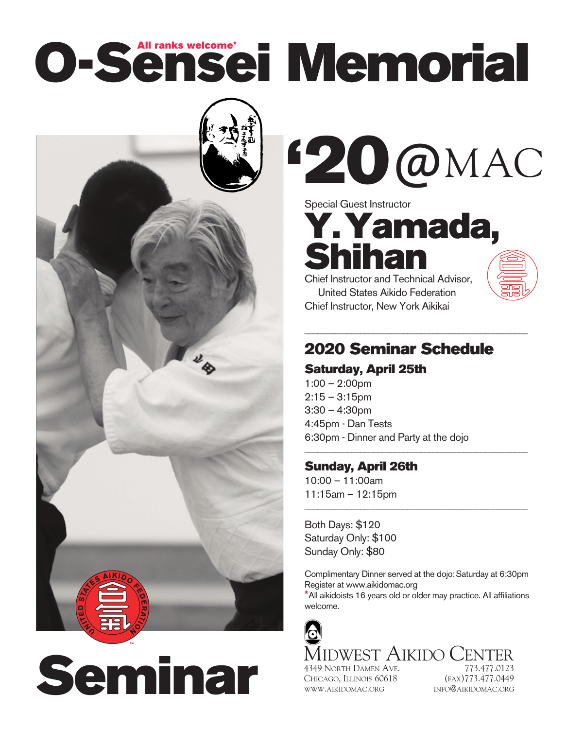# **O-Sensei Memorial All ranks welcome\***



**Seminar**

**20**@MAC **'**

Special Guest Instructor **Y.Yamada, Shihan**

Chief Instructor and Technical Advisor, United States Aikido Federation Chief Instructor, New York Aikikai

### **2020 Seminar Schedule**

\_\_\_\_\_\_\_\_\_\_\_\_\_\_\_\_\_\_\_\_\_\_\_\_\_\_\_\_\_\_\_\_\_\_\_\_\_\_\_\_\_\_\_\_\_\_\_\_\_\_\_\_

\_\_\_\_\_\_\_\_\_\_\_\_\_\_\_\_\_\_\_\_\_\_\_\_\_\_\_\_\_\_\_\_\_\_\_\_\_\_\_\_\_\_\_\_\_\_\_\_\_\_\_\_

\_\_\_\_\_\_\_\_\_\_\_\_\_\_\_\_\_\_\_\_\_\_\_\_\_\_\_\_\_\_\_\_\_\_\_\_\_\_\_\_\_\_\_\_\_\_\_\_\_\_\_\_

#### **Saturday, April 25th**

1:00 – 2:00pm  $2:15 - 3:15$ pm 3:30 – 4:30pm 4:45pm - Dan Tests 6:30pm - Dinner and Party at the dojo

#### **Sunday, April 26th**

10:00 – 11:00am 11:15am – 12:15pm

Both Days: \$120 Saturday Only: \$100 Sunday Only: \$80

Complimentary Dinner served at the dojo:Saturday at 6:30pm Register at www.aikidomac.org

**\***All aikidoists 16 years old or older may practice. All affiliations welcome.

MIDWEST AIKIDO CENTER 4349 NORTH DAMEN AVE. 773.477.0123

CHICAGO, ILLINOIS 60618 (FAX)773.477.0449 WWW.AIKIDOMAC.ORG INFO@AIKIDOMAC.ORG